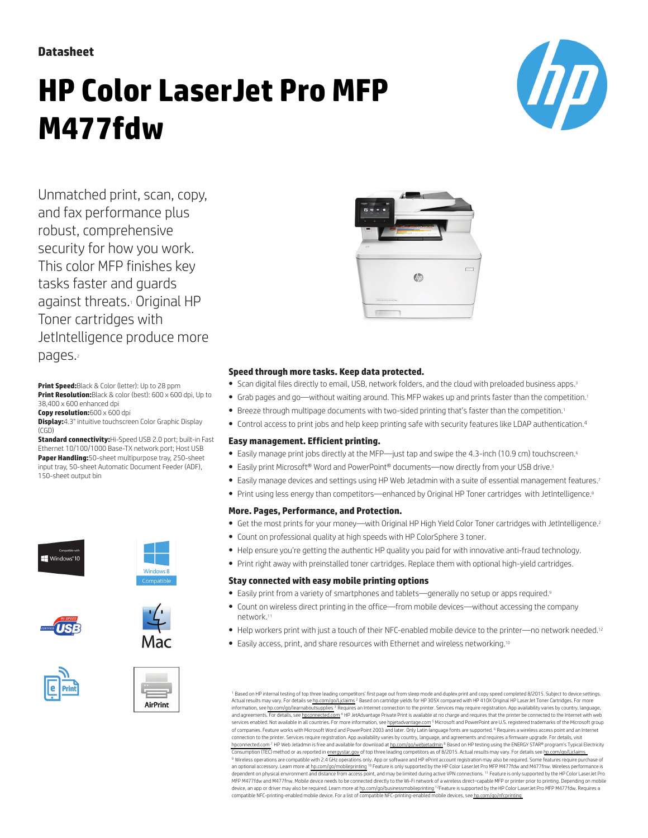### **Datasheet**

# **HP Color LaserJet Pro MFP M477fdw**



Unmatched print, scan, copy, and fax performance plus robust, comprehensive security for how you work. This color MFP finishes key tasks faster and guards against threats. Original HP Toner cartridges with JetIntelligence produce more pages.

**Print Speed:**Black & Color (letter): Up to 28 ppm **Print Resolution:**Black & color (best): 600 x 600 dpi, Up to 38,400 x 600 enhanced dpi

**Copy resolution:**600 x 600 dpi

**Display:**4.3" intuitive touchscreen Color Graphic Display  $(CGD)$ 

**Standard connectivity:**Hi-Speed USB 2.0 port; built-in Fast Ethernet 10/100/1000 Base-TX network port; Host USB **Paper Handling:**50-sheet multipurpose tray, 250-sheet input tray, 50-sheet Automatic Document Feeder (ADF), 150-sheet output bin















#### **Speed through more tasks. Keep data protected.**

- Scan digital files directly to email, USB, network folders, and the cloud with preloaded business apps.<sup>3</sup>
- Grab pages and go—without waiting around. This MFP wakes up and prints faster than the competition.<sup>1</sup>
- Breeze through multipage documents with two-sided printing that's faster than the competition.<sup>1</sup>
- Control access to print jobs and help keep printing safe with security features like LDAP authentication.<sup>4</sup>

#### **Easy management. Efficient printing.**

- Easily manage print jobs directly at the MFP—just tap and swipe the 4.3-inch (10.9 cm) touchscreen.<sup>6</sup>
- Easily print Microsoft® Word and PowerPoint® documents—now directly from your USB drive.<sup>5</sup>
- Easily manage devices and settings using HP Web Jetadmin with a suite of essential management features.<sup>7</sup>
- Print using less energy than competitors—enhanced by Original HP Toner cartridges with JetIntelligence.<sup>8</sup>

#### **More. Pages, Performance, and Protection.**

- Get the most prints for your money—with Original HP High Yield Color Toner cartridges with JetIntelligence.<sup>2</sup>
- Count on professional quality at high speeds with HP ColorSphere 3 toner.
- Help ensure you're getting the authentic HP quality you paid for with innovative anti-fraud technology.
- Print right away with preinstalled toner cartridges. Replace them with optional high-yield cartridges.

#### **Stay connected with easy mobile printing options**

- Easily print from a variety of smartphones and tablets—generally no setup or apps required.<sup>9</sup>
- Count on wireless direct printing in the office—from mobile devices—without accessing the company network.<sup>11</sup>
- Help workers print with just a touch of their NFC-enabled mobile device to the printer—no network needed.<sup>12</sup>
- Easily access, print, and share resources with Ethernet and wireless networking.<sup>10</sup>

<sup>1</sup> Based on HP internal testing of top three leading competitors' first page out from sleep mode and duplex print and copy speed completed 8/2015. Subject to device settings Actual results may vary. For details se [hp.com/go/Ljclaims](http://www.hp.com/go/Ljclaims) <sup>2</sup> Based on cartridge yields for HP 305X compared with HP 410X Original HP LaserJet Toner Cartridges. For mor information, see [hp.com/go/learnaboutsupplies](http://www.hp.com/go/learnaboutsupplies) <sup>3</sup> Requires an Internet connection to the printer. Services may require registration. App availability varies by country, language and agreements. For details, see [hpconnected.com](http://www.hpconnected.com) <sup>4</sup> HP JetAdvantage Private Print is available at no charge and requires that the printer be connected to the Internet with web services enabled. Not available in all countries. For more information, see [hpjetadvantage.com](http://www.hpjetadvantage.com) <sup>s</sup> Microsoft and PowerPoint are U.S. registered trademarks of the Microsoft group<br>of companies. Feature works with Microsoft W connection to the printer. Services require registration. App availability varies by country, language, and agreements and requires a firmware upgrade. For details, vi [hpconnected.com](http://www.hpconnected.com) <sup>7</sup> HP Web Jetadmin is free and available for download at [hp.com/go/webjetadmin](http://www.hp.com/go/webjetadmin) <sup>8</sup> Based on HP testing using the ENERGY STAR® program's Typical Electricity Consumption (TEC) method or as reported in [energystar.gov](http://energystar.gov) of top three leading competitors as of 8/2015. Actual results may vary. For details see [hp.com/go/Ljclaims](http://www.hp.com/go/Ljclaims) <sup>9</sup> Wireless operations are compatible with 2.4 GHz operations only. App or software and HP ePrint account registration may also be required. Some features require purchase of<br>an optional accessory. Learn more at hp.com/qo dependent on physical environment and distance from access point, and may be limited during active VPN connections. <sup>11</sup> Feature is only supported by the HP Color LaserJet Pro MFP M477fdw and M477fnw. Mobile device needs to be connected directly to the Wi-Fi network of a wireless direct–capable MFP or printer prior to printing. Depending on mobile device, an app or driver may also be required. Learn more at [hp.com/go/businessmobileprinting](http://www.hp.com/go/businessmobileprinting) 12Feature is supported by the HP Color LaserJet Pro MFP M477fdw. Requires a compatible NFC-printing-enabled mobile device. For a list of compatible NFC-printing-enabled mobile devices, see [hp.com/go/nfcprinting](http://www.hp.com/nfcprinting)